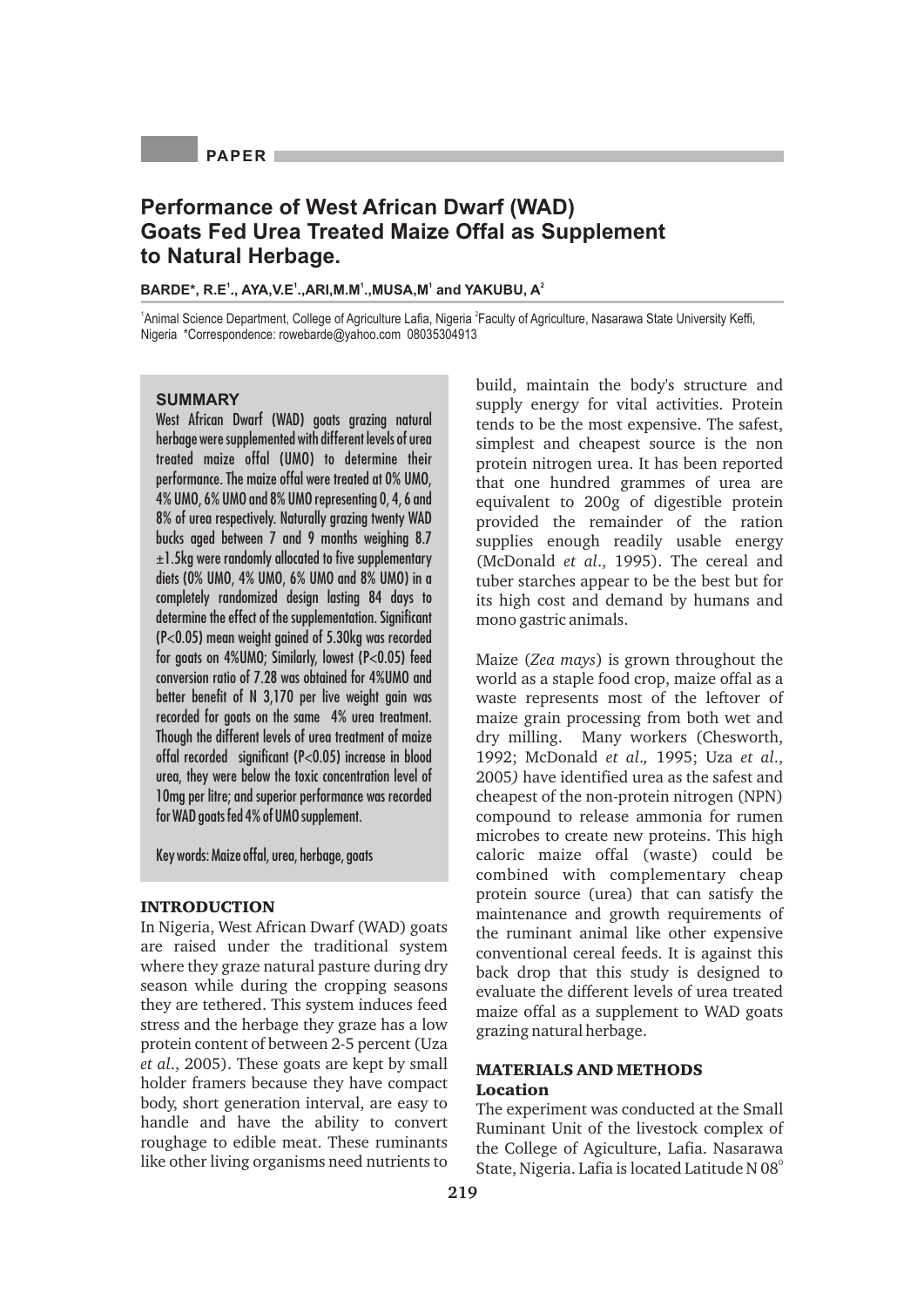## **PAPER**

# **Performance of West African Dwarf (WAD) Goats Fed Urea Treated Maize Offal as Supplement to Natural Herbage.**

**<sup>1</sup> <sup>1</sup> <sup>1</sup> <sup>1</sup> <sup>2</sup> BARDE\*, R.E ., AYA,V.E .,ARI,M.M .,MUSA,M and YAKUBU, A**

<sup>1</sup>Animal Science Department, College of Agriculture Lafia, Nigeria <sup>2</sup>Faculty of Agriculture, Nasarawa State University Keffi, Nigeria \*Correspondence: rowebarde@yahoo.com 08035304913

## **SUMMARY**

West African Dwarf (WAD) goats grazing natural herbage were supplemented with different levels of urea treated maize offal (UMO) to determine their performance. The maize offal were treated at 0% UMO, 4% UMO, 6% UMO and 8% UMO representing 0, 4, 6 and 8% of urea respectively. Naturally grazing twenty WAD bucks aged between 7 and 9 months weighing 8.7 ±1.5kg were randomly allocated to five supplementary diets (0% UMO, 4% UMO, 6% UMO and 8% UMO) in a completely randomized design lasting 84 days to determine the effect of the supplementation. Significant (P<0.05) mean weight gained of 5.30kg was recorded for goats on 4%UMO; Similarly, lowest (P<0.05) feed conversion ratio of 7.28 was obtained for 4%UMO and better benefit of N 3,170 per live weight gain was recorded for goats on the same 4% urea treatment. Though the different levels of urea treatment of maize offal recorded significant (P<0.05) increase in blood urea, they were below the toxic concentration level of 10mg per litre; and superior performance was recorded for WAD goats fed 4% of UMO supplement.

Key words: Maize offal, urea, herbage, goats

#### **INTRODUCTION**

In Nigeria, West African Dwarf (WAD) goats are raised under the traditional system where they graze natural pasture during dry season while during the cropping seasons they are tethered. This system induces feed stress and the herbage they graze has a low protein content of between 2-5 percent (Uza *et al*., 2005). These goats are kept by small holder framers because they have compact body, short generation interval, are easy to handle and have the ability to convert roughage to edible meat. These ruminants like other living organisms need nutrients to

build, maintain the body's structure and supply energy for vital activities. Protein tends to be the most expensive. The safest, simplest and cheapest source is the non protein nitrogen urea. It has been reported that one hundred grammes of urea are equivalent to 200g of digestible protein provided the remainder of the ration supplies enough readily usable energy (McDonald *et al*., 1995). The cereal and tuber starches appear to be the best but for its high cost and demand by humans and mono gastric animals.

Maize (*Zea mays*) is grown throughout the world as a staple food crop, maize offal as a waste represents most of the leftover of maize grain processing from both wet and dry milling. Many workers (Chesworth, 1992; McDonald *et al*.*,* 1995; Uza *et al*., 2005*)* have identified urea as the safest and cheapest of the non-protein nitrogen (NPN) compound to release ammonia for rumen microbes to create new proteins. This high caloric maize offal (waste) could be combined with complementary cheap protein source (urea) that can satisfy the maintenance and growth requirements of the ruminant animal like other expensive conventional cereal feeds. It is against this back drop that this study is designed to evaluate the different levels of urea treated maize offal as a supplement to WAD goats grazing natural herbage.

## **MATERIALS AND METHODS Location**

The experiment was conducted at the Small Ruminant Unit of the livestock complex of the College of Agiculture, Lafia. Nasarawa State, Nigeria. Lafia is located Latitude N 08<sup>°</sup>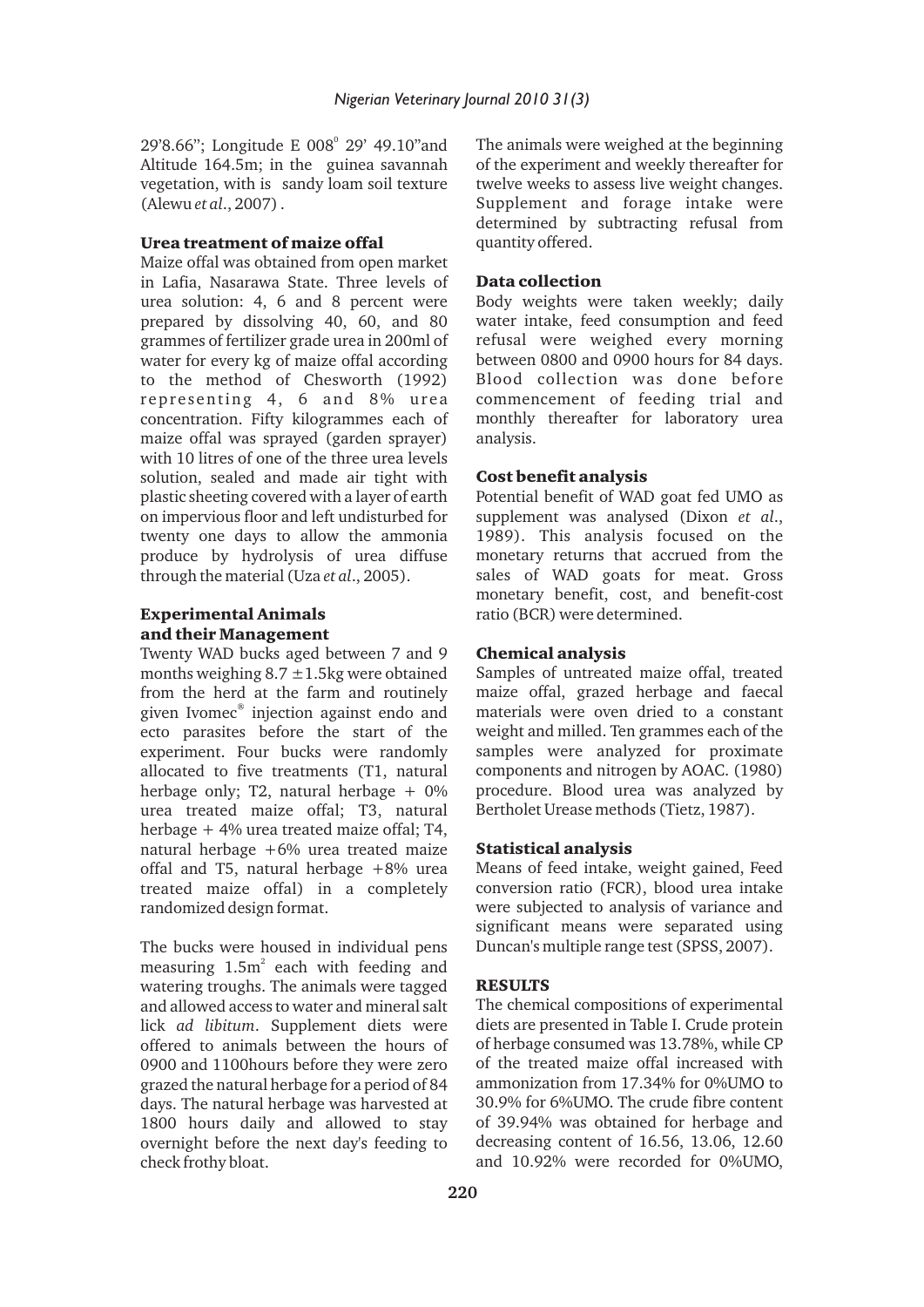29'8.66"; Longitude E 008<sup>°</sup> 29' 49.10"and Altitude 164.5m; in the guinea savannah vegetation, with is sandy loam soil texture (Alewu *et al*., 2007) .

#### **Urea treatment of maize offal**

Maize offal was obtained from open market in Lafia, Nasarawa State. Three levels of urea solution: 4, 6 and 8 percent were prepared by dissolving 40, 60, and 80 grammes of fertilizer grade urea in 200ml of water for every kg of maize offal according to the method of Chesworth (1992) representing 4, 6 and 8% urea concentration. Fifty kilogrammes each of maize offal was sprayed (garden sprayer) with 10 litres of one of the three urea levels solution, sealed and made air tight with plastic sheeting covered with a layer of earth on impervious floor and left undisturbed for twenty one days to allow the ammonia produce by hydrolysis of urea diffuse through the material (Uza *et al*., 2005).

## **Experimental Animals and their Management**

Twenty WAD bucks aged between 7 and 9 months weighing  $8.7 \pm 1.5$ kg were obtained from the herd at the farm and routinely given Ivomec® injection against endo and ecto parasites before the start of the experiment. Four bucks were randomly allocated to five treatments (T1, natural herbage only: T2, natural herbage  $+ 0\%$ urea treated maize offal; T3, natural herbage + 4% urea treated maize offal; T4, natural herbage +6% urea treated maize offal and T5, natural herbage +8% urea treated maize offal) in a completely randomized design format.

The bucks were housed in individual pens measuring  $1.5m<sup>2</sup>$  each with feeding and watering troughs. The animals were tagged and allowed access to water and mineral salt lick *ad libitum*. Supplement diets were offered to animals between the hours of 0900 and 1100hours before they were zero grazed the natural herbage for a period of 84 days. The natural herbage was harvested at 1800 hours daily and allowed to stay overnight before the next day's feeding to check frothy bloat.

The animals were weighed at the beginning of the experiment and weekly thereafter for twelve weeks to assess live weight changes. Supplement and forage intake were determined by subtracting refusal from quantity offered.

#### **Data collection**

Body weights were taken weekly; daily water intake, feed consumption and feed refusal were weighed every morning between 0800 and 0900 hours for 84 days. Blood collection was done before commencement of feeding trial and monthly thereafter for laboratory urea analysis.

#### **Cost benefit analysis**

Potential benefit of WAD goat fed UMO as supplement was analysed (Dixon *et al*., 1989). This analysis focused on the monetary returns that accrued from the sales of WAD goats for meat. Gross monetary benefit, cost, and benefit-cost ratio (BCR) were determined.

#### **Chemical analysis**

Samples of untreated maize offal, treated maize offal, grazed herbage and faecal materials were oven dried to a constant weight and milled. Ten grammes each of the samples were analyzed for proximate components and nitrogen by AOAC. (1980) procedure. Blood urea was analyzed by Bertholet Urease methods (Tietz, 1987).

#### **Statistical analysis**

Means of feed intake, weight gained, Feed conversion ratio (FCR), blood urea intake were subjected to analysis of variance and significant means were separated using Duncan's multiple range test (SPSS, 2007).

#### **RESULTS**

The chemical compositions of experimental diets are presented in Table I. Crude protein of herbage consumed was 13.78%, while CP of the treated maize offal increased with ammonization from 17.34% for 0%UMO to 30.9% for 6%UMO. The crude fibre content of 39.94% was obtained for herbage and decreasing content of 16.56, 13.06, 12.60 and 10.92% were recorded for 0%UMO,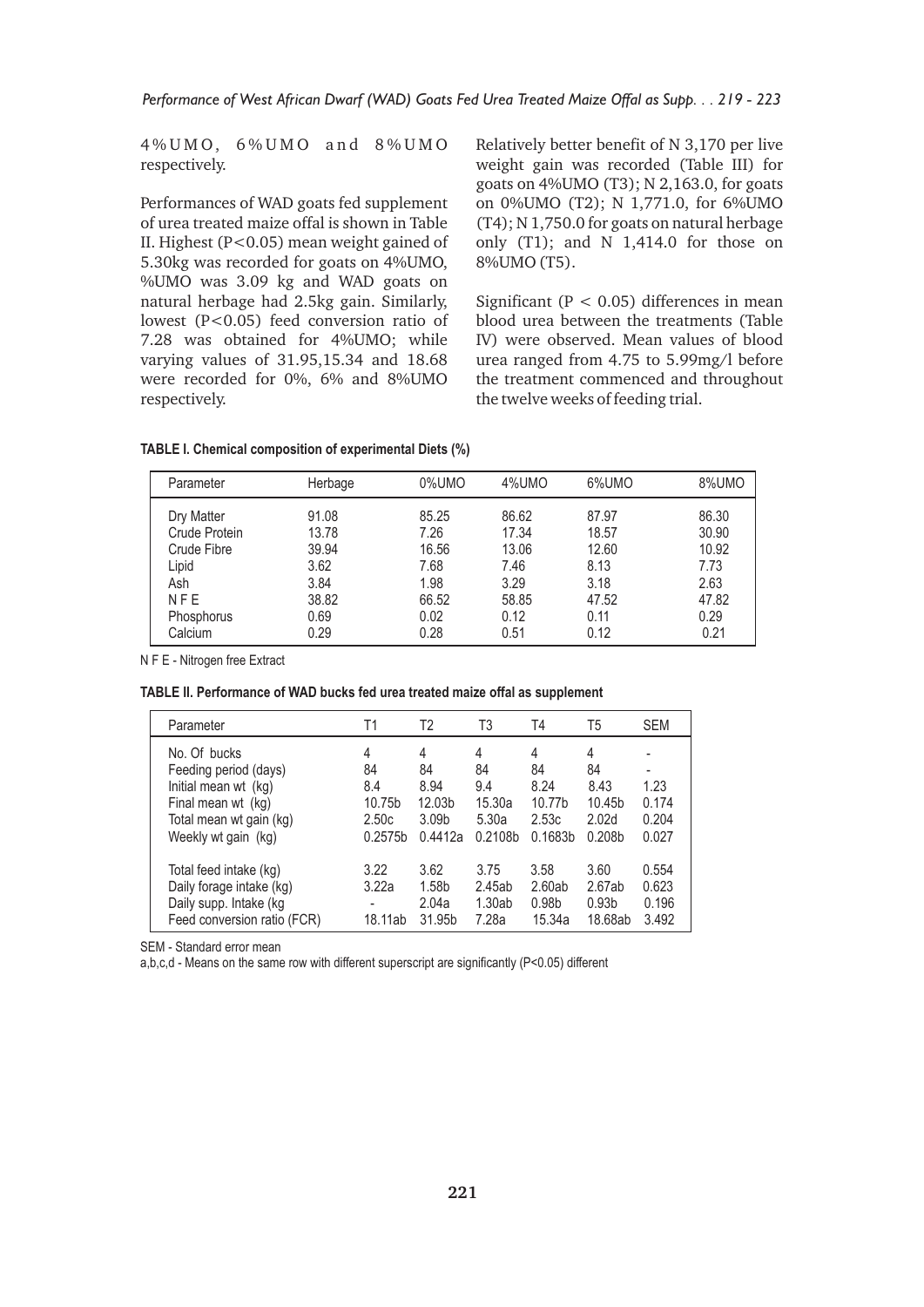4 % U M O, 6 % U M O a n d 8 % U M O respectively.

Performances of WAD goats fed supplement of urea treated maize offal is shown in Table II. Highest (P<0.05) mean weight gained of 5.30kg was recorded for goats on 4%UMO, %UMO was 3.09 kg and WAD goats on natural herbage had 2.5kg gain. Similarly, lowest (P<0.05) feed conversion ratio of 7.28 was obtained for 4%UMO; while varying values of 31.95,15.34 and 18.68 were recorded for 0%, 6% and 8%UMO respectively.

Relatively better benefit of N 3,170 per live weight gain was recorded (Table III) for goats on 4%UMO (T3); N 2,163.0, for goats on 0%UMO (T2); N 1,771.0, for 6%UMO (T4); N 1,750.0 for goats on natural herbage only (T1); and N 1,414.0 for those on 8%UMO (T5).

Significant ( $P < 0.05$ ) differences in mean blood urea between the treatments (Table IV) were observed. Mean values of blood urea ranged from 4.75 to 5.99mg/l before the treatment commenced and throughout the twelve weeks of feeding trial.

|  | TABLE I. Chemical composition of experimental Diets (%) |  |
|--|---------------------------------------------------------|--|
|  |                                                         |  |

| Parameter     | Herbage | 0%UMO | 4%UMO | 6%UMO | 8%UMO |
|---------------|---------|-------|-------|-------|-------|
| Dry Matter    | 91.08   | 85.25 | 86.62 | 87.97 | 86.30 |
| Crude Protein | 13.78   | 7.26  | 17.34 | 18.57 | 30.90 |
| Crude Fibre   | 39.94   | 16.56 | 13.06 | 12.60 | 10.92 |
| Lipid         | 3.62    | 7.68  | 7.46  | 8.13  | 7.73  |
| Ash           | 3.84    | 1.98  | 3.29  | 3.18  | 2.63  |
| <b>NFE</b>    | 38.82   | 66.52 | 58.85 | 47.52 | 47.82 |
| Phosphorus    | 0.69    | 0.02  | 0.12  | 0.11  | 0.29  |
| Calcium       | 0.29    | 0.28  | 0.51  | 0.12  | 0.21  |

N F E - Nitrogen free Extract

| TABLE II. Performance of WAD bucks fed urea treated maize offal as supplement |  |  |  |
|-------------------------------------------------------------------------------|--|--|--|
|-------------------------------------------------------------------------------|--|--|--|

| Parameter                   | Τ1      | T2                | T3      | T4                  | T5                 | <b>SEM</b> |
|-----------------------------|---------|-------------------|---------|---------------------|--------------------|------------|
| No. Of bucks                | 4       | 4                 | 4       | 4                   | 4                  |            |
| Feeding period (days)       | 84      | 84                | 84      | 84                  | 84                 | ۰          |
| Initial mean wt (kg)        | 8.4     | 8.94              | 9.4     | 8.24                | 8.43               | 1.23       |
| Final mean wt (kg)          | 10.75b  | 12.03b            | 15.30a  | 10.77 <sub>b</sub>  | 10.45 <sub>b</sub> | 0.174      |
| Total mean wt gain (kg)     | 2.50c   | 3.09 <sub>b</sub> | 5.30a   | 2.53c               | 2.02d              | 0.204      |
| Weekly wt gain (kg)         | 0.2575h | 0.4412a           | 0.2108b | 0.1683 <sub>b</sub> | 0.208 <sub>b</sub> | 0.027      |
| Total feed intake (kg)      | 3.22    | 3.62              | 3.75    | 3.58                | 3.60               | 0.554      |
| Daily forage intake (kg)    | 3.22a   | 1.58b             | 2.45ab  | 2.60ab              | 2.67ab             | 0.623      |
| Daily supp. Intake (kg      |         | 2.04a             | 1.30ab  | 0.98 <sub>b</sub>   | 0.93 <sub>b</sub>  | 0.196      |
| Feed conversion ratio (FCR) | 18.11ab | 31.95b            | 7.28a   | 15.34a              | 18.68ab            | 3.492      |

SEM - Standard error mean

a,b,c,d - Means on the same row with different superscript are significantly (P<0.05) different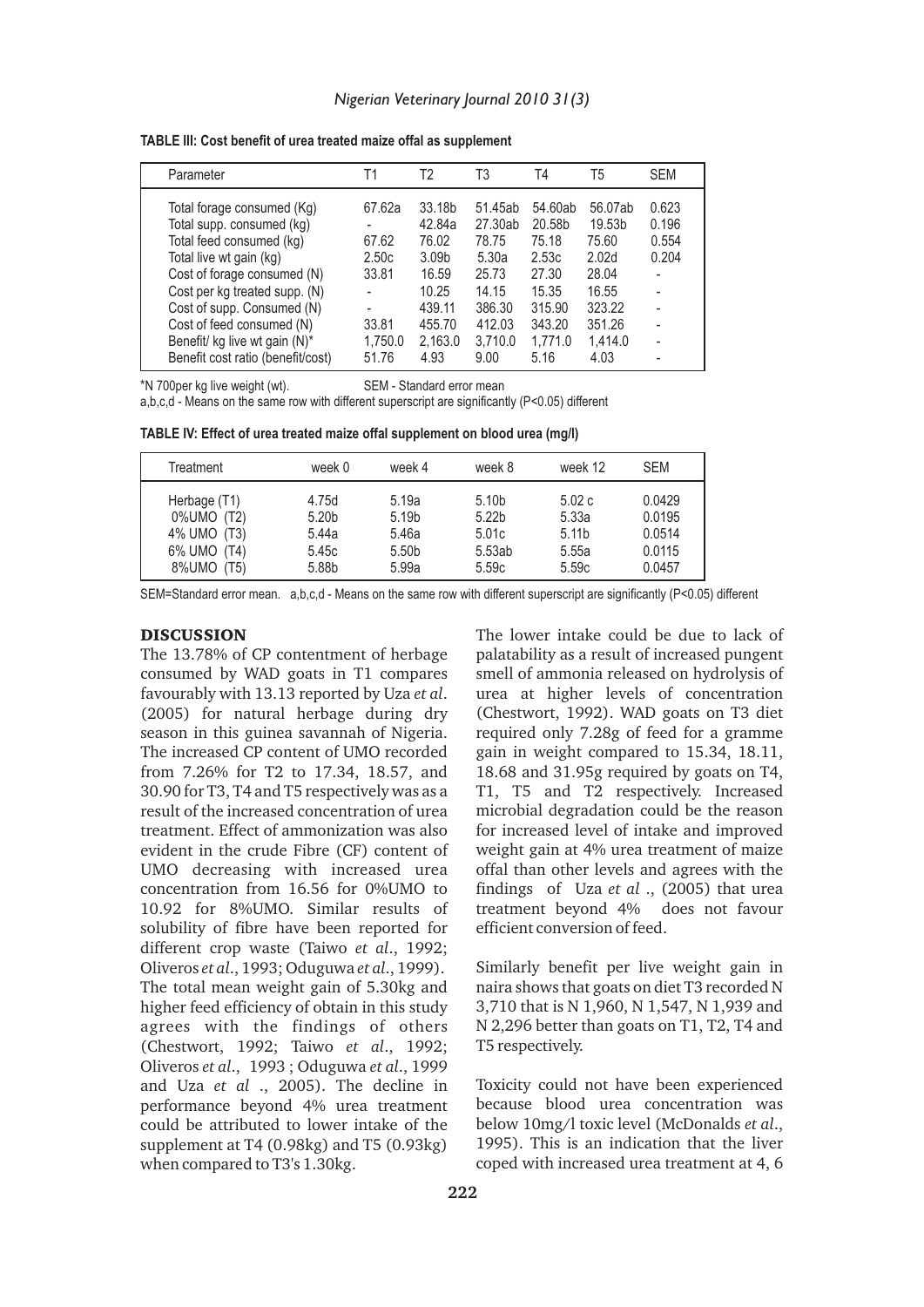| TABLE III: Cost benefit of urea treated maize offal as supplement |  |  |
|-------------------------------------------------------------------|--|--|
|-------------------------------------------------------------------|--|--|

| Parameter                         | Τ1      | T2                | T3      | Τ4      | T5                | <b>SEM</b> |
|-----------------------------------|---------|-------------------|---------|---------|-------------------|------------|
| Total forage consumed (Kg)        | 67.62a  | 33.18b            | 51.45ab | 54.60ab | 56.07ab           | 0.623      |
| Total supp. consumed (kg)         |         | 42.84a            | 27.30ab | 20.58b  | 19.53b            | 0.196      |
| Total feed consumed (kg)          | 67.62   | 76.02             | 78.75   | 75.18   | 75.60             | 0.554      |
| Total live wt gain (kg)           | 2.50c   | 3.09 <sub>b</sub> | 5.30a   | 2.53c   | 2.02 <sub>d</sub> | 0.204      |
| Cost of forage consumed (N)       | 33.81   | 16.59             | 25.73   | 27.30   | 28.04             |            |
| Cost per kg treated supp. (N)     |         | 10.25             | 14.15   | 15.35   | 16.55             |            |
| Cost of supp. Consumed (N)        | ۰       | 439.11            | 386.30  | 315.90  | 323.22            |            |
| Cost of feed consumed (N)         | 33.81   | 455.70            | 412.03  | 343.20  | 351.26            |            |
| Benefit/ kg live wt gain (N)*     | 1,750.0 | 2,163.0           | 3.710.0 | 1.771.0 | 1,414.0           |            |
| Benefit cost ratio (benefit/cost) | 51.76   | 4.93              | 9.00    | 5.16    | 4.03              |            |

\*N 700per kg live weight (wt). SEM - Standard error mean

a,b,c,d - Means on the same row with different superscript are significantly (P<0.05) different

| TABLE IV: Effect of urea treated maize offal supplement on blood urea (mg/l) |  |  |  |  |
|------------------------------------------------------------------------------|--|--|--|--|
|------------------------------------------------------------------------------|--|--|--|--|

| Treatment    | week 0            | week 4            | week 8            | week 12           | <b>SEM</b> |
|--------------|-------------------|-------------------|-------------------|-------------------|------------|
| Herbage (T1) | 4.75d             | 5.19a             | 5.10 <sub>b</sub> | 5.02c             | 0.0429     |
| 0%UMO (T2)   | 5.20 <sub>b</sub> | 5.19b             | 5.22 <sub>b</sub> | 5.33a             | 0.0195     |
| 4% UMO (T3)  | 5.44a             | 5.46a             | 5.01c             | 5.11 <sub>b</sub> | 0.0514     |
| 6% UMO (T4)  | 5.45c             | 5.50 <sub>b</sub> | 5.53ab            | 5.55a             | 0.0115     |
| 8%UMO (T5)   | 5.88b             | 5.99a             | 5.59c             | 5.59c             | 0.0457     |

SEM=Standard error mean. a,b,c,d - Means on the same row with different superscript are significantly (P<0.05) different

#### **DISCUSSION**

The 13.78% of CP contentment of herbage consumed by WAD goats in T1 compares favourably with 13.13 reported by Uza *et al*. (2005) for natural herbage during dry season in this guinea savannah of Nigeria. The increased CP content of UMO recorded from 7.26% for T2 to 17.34, 18.57, and 30.90 for T3, T4 and T5 respectively was as a result of the increased concentration of urea treatment. Effect of ammonization was also evident in the crude Fibre (CF) content of UMO decreasing with increased urea concentration from 16.56 for 0%UMO to 10.92 for 8%UMO. Similar results of solubility of fibre have been reported for different crop waste (Taiwo *et al*., 1992; Oliveros *et al*., 1993; Oduguwa *et al*., 1999). The total mean weight gain of 5.30kg and higher feed efficiency of obtain in this study agrees with the findings of others (Chestwort, 1992; Taiwo *et al*., 1992; Oliveros *et al*., 1993 ; Oduguwa *et al*., 1999 and Uza *et al* ., 2005). The decline in performance beyond 4% urea treatment could be attributed to lower intake of the supplement at T4 (0.98kg) and T5 (0.93kg) when compared to T3's 1.30kg.

The lower intake could be due to lack of palatability as a result of increased pungent smell of ammonia released on hydrolysis of urea at higher levels of concentration (Chestwort, 1992). WAD goats on T3 diet required only 7.28g of feed for a gramme gain in weight compared to 15.34, 18.11, 18.68 and 31.95g required by goats on T4, T1, T5 and T2 respectively. Increased microbial degradation could be the reason for increased level of intake and improved weight gain at 4% urea treatment of maize offal than other levels and agrees with the findings of Uza *et al* ., (2005) that urea treatment beyond 4% does not favour efficient conversion of feed.

Similarly benefit per live weight gain in naira shows that goats on diet T3 recorded N 3,710 that is N 1,960, N 1,547, N 1,939 and N 2,296 better than goats on T1, T2, T4 and T5 respectively.

Toxicity could not have been experienced because blood urea concentration was below 10mg/l toxic level (McDonalds *et al*., 1995). This is an indication that the liver coped with increased urea treatment at 4, 6